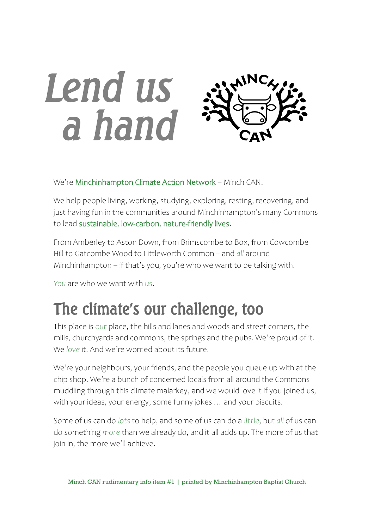# *Lend us a hand*

We're Minchinhampton Climate Action Network – Minch CAN.

We help people living, working, studying, exploring, resting, recovering, and just having fun in the communities around Minchinhampton's many Commons to lead sustainable, low-carbon, nature-friendly lives.

From Amberley to Aston Down, from Brimscombe to Box, from Cowcombe Hill to Gatcombe Wood to Littleworth Common – and *all* around Minchinhampton – if that's you, you're who we want to be talking with.

*You* are who we want with *us*.

## The climate's our challenge, too

This place is *our* place, the hills and lanes and woods and street corners, the mills, churchyards and commons, the springs and the pubs. We're proud of it. We *love* it. And we're worried about its future.

We're your neighbours, your friends, and the people you queue up with at the chip shop. We're a bunch of concerned locals from all around the Commons muddling through this climate malarkey, and we would love it if you joined us, with your ideas, your energy, some funny jokes … and your biscuits.

Some of us can do *lots* to help, and some of us can do a *little*, but *all* of us can do something *more* than we already do, and it all adds up. The more of us that join in, the more we'll achieve.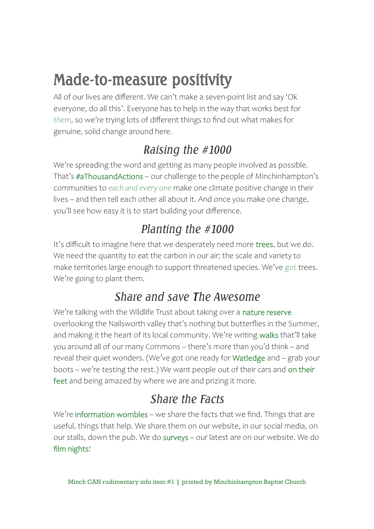## Made-to-measure positivity

All of our lives are different. We can't make a seven-point list and say 'Ok everyone, do all this'. Everyone has to help in the way that works best for *them*, so we're trying lots of different things to find out what makes for genuine, solid change around here.

## *Raising the #1000*

We're spreading the word and getting as many people involved as possible. That's #aThousandActions – our challenge to the people of Minchinhampton's communities to *each and every one* make one climate positive change in their lives – and then tell each other all about it. And once you make one change, you'll see how easy it is to start building your difference.

## *Planting the #1000*

It's difficult to imagine here that we desperately need more trees, but we do. We need the quantity to eat the carbon in our air; the scale and variety to make territories large enough to support threatened species. We've *got* trees. We're going to plant them.

#### *Share and save The Awesome*

We're talking with the Wildlife Trust about taking over a nature reserve overlooking the Nailsworth valley that's nothing but butterflies in the Summer, and making it the heart of its local community. We're writing walks that'll take you around all of our many Commons – there's more than you'd think – and reveal their quiet wonders. (We've got one ready for Watledge and – grab your boots – we're testing the rest.) We want people out of their cars and on their feet and being amazed by where we are and prizing it more.

### *Share the Facts*

We're information wombles – we share the facts that we find. Things that are useful, things that help. We share them on our website, in our social media, on our stalls, down the pub. We do surveys – our latest are on our website. We do film nights!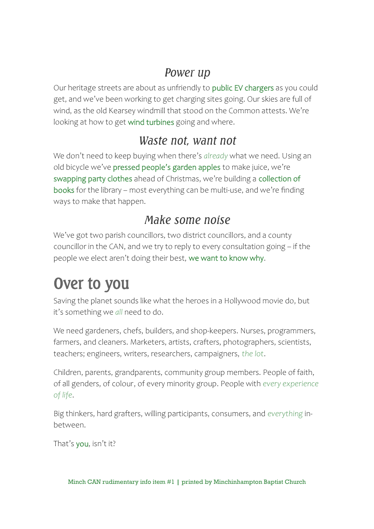#### *Power up*

Our heritage streets are about as unfriendly to public EV chargers as you could get, and we've been working to get charging sites going. Our skies are full of wind, as the old Kearsey windmill that stood on the Common attests. We're looking at how to get wind turbines going and where.

#### *Waste not, want not*

We don't need to keep buying when there's *already* what we need. Using an old bicycle we've pressed people's garden apples to make juice, we're swapping party clothes ahead of Christmas, we're building a collection of books for the library – most everything can be multi-use, and we're finding ways to make that happen.

#### *Make some noise*

We've got two parish councillors, two district councillors, and a county councillor in the CAN, and we try to reply to every consultation going – if the people we elect aren't doing their best, we want to know why.

# Over to you

Saving the planet sounds like what the heroes in a Hollywood movie do, but it's something we *all* need to do.

We need gardeners, chefs, builders, and shop-keepers. Nurses, programmers, farmers, and cleaners. Marketers, artists, crafters, photographers, scientists, teachers; engineers, writers, researchers, campaigners, *the lot*.

Children, parents, grandparents, community group members. People of faith, of all genders, of colour, of every minority group. People with *every experience of life*.

Big thinkers, hard grafters, willing participants, consumers, and *everything* inbetween.

That's you, isn't it?